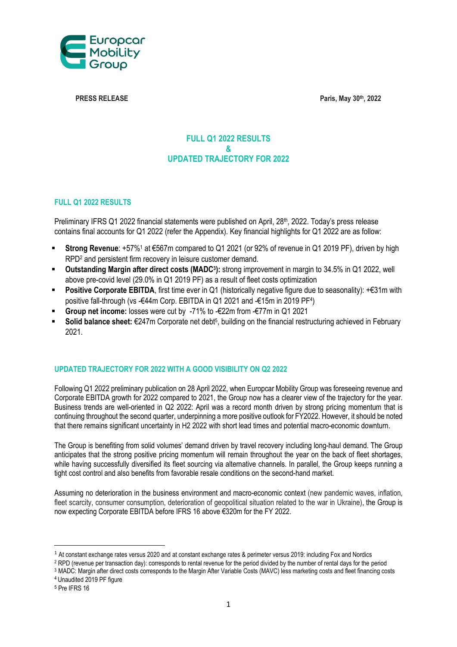

**PRESS RELEASE Paris, May 30th, 2022**

## **FULL Q1 2022 RESULTS & UPDATED TRAJECTORY FOR 2022**

### **FULL Q1 2022 RESULTS**

Preliminary IFRS Q1 2022 financial statements were published on April, 28<sup>th</sup>, 2022. Today's press release contains final accounts for Q1 2022 (refer the Appendix). Key financial highlights for Q1 2022 are as follow:

- **Strong Revenue**: +57%<sup>1</sup> at €567m compared to Q1 2021 (or 92% of revenue in Q1 2019 PF), driven by high RPD<sup>2</sup> and persistent firm recovery in leisure customer demand.
- **Dutstanding Margin after direct costs (MADC<sup>3</sup>):** strong improvement in margin to 34.5% in Q1 2022, well above pre-covid level (29.0% in Q1 2019 PF) as a result of fleet costs optimization
- **Positive Corporate EBITDA**, first time ever in Q1 (historically negative figure due to seasonality): +€31m with positive fall-through (vs -€44m Corp. EBITDA in Q1 2021 and -€15m in 2019 PF<sup>4</sup>)
- **Group net income:** losses were cut by -71% to -€22m from -€77m in Q1 2021
- Solid balance sheet: €247m Corporate net debt<sup>5</sup>, building on the financial restructuring achieved in February 2021.

### **UPDATED TRAJECTORY FOR 2022 WITH A GOOD VISIBILITY ON Q2 2022**

Following Q1 2022 preliminary publication on 28 April 2022, when Europcar Mobility Group was foreseeing revenue and Corporate EBITDA growth for 2022 compared to 2021, the Group now has a clearer view of the trajectory for the year. Business trends are well-oriented in Q2 2022: April was a record month driven by strong pricing momentum that is continuing throughout the second quarter, underpinning a more positive outlook for FY2022. However, it should be noted that there remains significant uncertainty in H2 2022 with short lead times and potential macro-economic downturn.

The Group is benefiting from solid volumes' demand driven by travel recovery including long-haul demand. The Group anticipates that the strong positive pricing momentum will remain throughout the year on the back of fleet shortages, while having successfully diversified its fleet sourcing via alternative channels. In parallel, the Group keeps running a tight cost control and also benefits from favorable resale conditions on the second-hand market.

Assuming no deterioration in the business environment and macro-economic context (new pandemic waves, inflation, fleet scarcity, consumer consumption, deterioration of geopolitical situation related to the war in Ukraine), the Group is now expecting Corporate EBITDA before IFRS 16 above €320m for the FY 2022.

 $\overline{\phantom{a}}$ 

<sup>1</sup> At constant exchange rates versus 2020 and at constant exchange rates & perimeter versus 2019: including Fox and Nordics

<sup>2</sup> RPD (revenue per transaction day): corresponds to rental revenue for the period divided by the number of rental days for the period

<sup>3</sup> MADC: Margin after direct costs corresponds to the Margin After Variable Costs (MAVC) less marketing costs and fleet financing costs <sup>4</sup> Unaudited 2019 PF figure

<sup>5</sup> Pre IFRS 16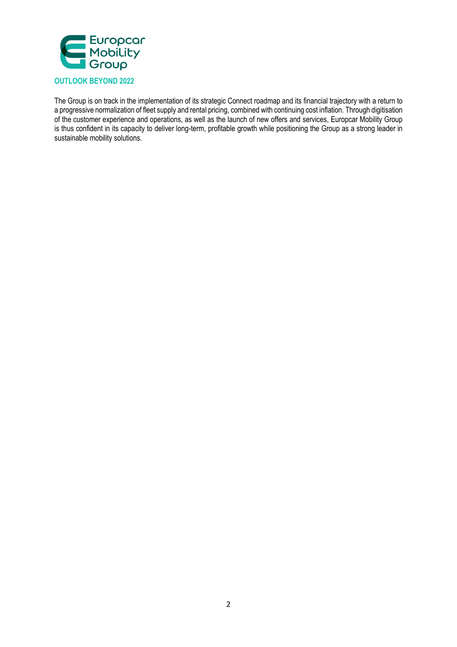

The Group is on track in the implementation of its strategic Connect roadmap and its financial trajectory with a return to a progressive normalization of fleet supply and rental pricing, combined with continuing cost inflation. Through digitisation of the customer experience and operations, as well as the launch of new offers and services, Europcar Mobility Group is thus confident in its capacity to deliver long-term, profitable growth while positioning the Group as a strong leader in sustainable mobility solutions.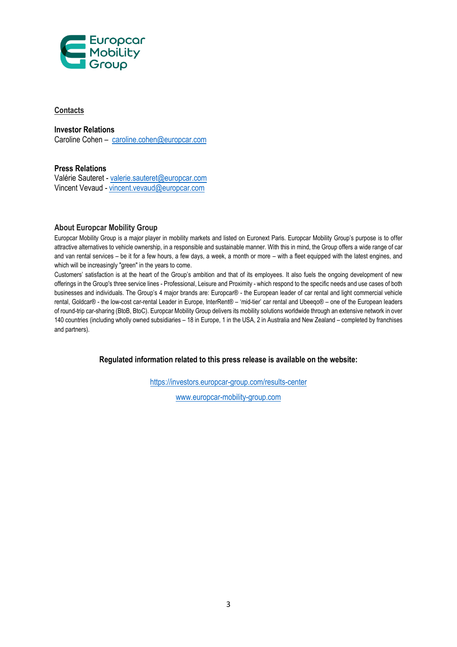

## **Contacts**

**Investor Relations** 

Caroline Cohen – [caroline.cohen@europcar.com](mailto:caroline.cohen@europcar.com)

## **Press Relations**

Valérie Sauteret - [valerie.sauteret@europcar.com](mailto:valerie.sauteret@europcar.com) Vincent Vevaud - [vincent.vevaud@europcar.com](mailto:vincent.vevaud@europcar.com)

### **About Europcar Mobility Group**

Europcar Mobility Group is a major player in mobility markets and listed on Euronext Paris. Europcar Mobility Group's purpose is to offer attractive alternatives to vehicle ownership, in a responsible and sustainable manner. With this in mind, the Group offers a wide range of car and van rental services – be it for a few hours, a few days, a week, a month or more – with a fleet equipped with the latest engines, and which will be increasingly "green" in the years to come.

Customers' satisfaction is at the heart of the Group's ambition and that of its employees. It also fuels the ongoing development of new offerings in the Group's three service lines - Professional, Leisure and Proximity - which respond to the specific needs and use cases of both businesses and individuals. The Group's 4 major brands are: Europcar® - the European leader of car rental and light commercial vehicle rental, Goldcar® - the low-cost car-rental Leader in Europe, InterRent® – 'mid-tier' car rental and Ubeeqo® – one of the European leaders of round-trip car-sharing (BtoB, BtoC). Europcar Mobility Group delivers its mobility solutions worldwide through an extensive network in over 140 countries (including wholly owned subsidiaries – 18 in Europe, 1 in the USA, 2 in Australia and New Zealand – completed by franchises and partners).

**Regulated information related to this press release is available on the website:**

<https://investors.europcar-group.com/results-center>

[www.europcar-mobility-group.com](http://www.europcar-mobility-group.com/)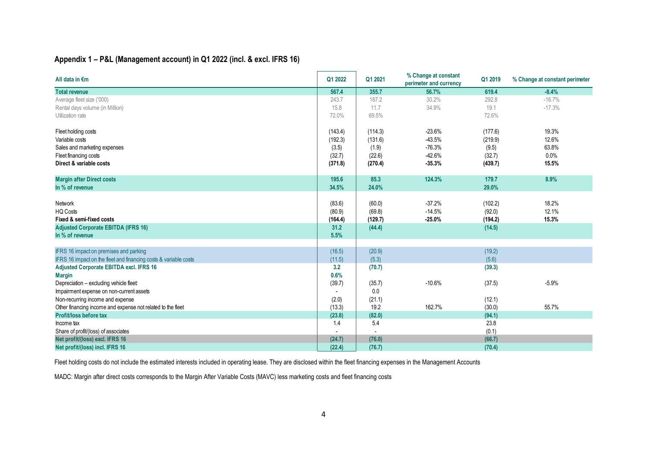## **Appendix 1 – P&L (Management account) in Q1 2022 (incl. & excl. IFRS 16)**

| All data in €m                                                   | Q1 2022 | Q1 2021 | % Change at constant<br>perimeter and currency | Q1 2019 | % Change at constant perimeter |
|------------------------------------------------------------------|---------|---------|------------------------------------------------|---------|--------------------------------|
| <b>Total revenue</b>                                             | 567.4   | 355.7   | 56.7%                                          | 619.4   | $-8.4%$                        |
| Average fleet size ('000)                                        | 243.7   | 187.2   | 30.2%                                          | 292.8   | $-16.7%$                       |
| Rental days volume (in Million)                                  | 15.8    | 11.7    | 34.9%                                          | 19.1    | $-17.3%$                       |
| Utilization rate                                                 | 72.0%   | 69.5%   |                                                | 72.6%   |                                |
| Fleet holding costs                                              | (143.4) | (114.3) | $-23.6%$                                       | (177.6) | 19.3%                          |
| Variable costs                                                   | (192.3) | (131.6) | $-43.5%$                                       | (219.9) | 12.6%                          |
| Sales and marketing expenses                                     | (3.5)   | (1.9)   | $-76.3%$                                       | (9.5)   | 63.8%                          |
| Fleet financing costs                                            | (32.7)  | (22.6)  | $-42.6%$                                       | (32.7)  | 0.0%                           |
| Direct & variable costs                                          | (371.8) | (270.4) | $-35.3%$                                       | (439.7) | 15.5%                          |
| <b>Margin after Direct costs</b>                                 | 195.6   | 85.3    | 124.3%                                         | 179.7   | 8.9%                           |
| In % of revenue                                                  | 34.5%   | 24.0%   |                                                | 29.0%   |                                |
| Network                                                          | (83.6)  | (60.0)  | $-37.2%$                                       | (102.2) | 18.2%                          |
| <b>HQ Costs</b>                                                  | (80.9)  | (69.8)  | $-14.5%$                                       | (92.0)  | 12.1%                          |
| Fixed & semi-fixed costs                                         | (164.4) | (129.7) | $-25.0%$                                       | (194.2) | 15.3%                          |
| <b>Adjusted Corporate EBITDA (IFRS 16)</b>                       | 31.2    | (44.4)  |                                                | (14.5)  |                                |
| In % of revenue                                                  | 5.5%    |         |                                                |         |                                |
| IFRS 16 impact on premises and parking                           | (16.5)  | (20.9)  |                                                | (19.2)  |                                |
| IFRS 16 impact on the fleet and financing costs & variable costs | (11.5)  | (5.3)   |                                                | (5.6)   |                                |
| Adjusted Corporate EBITDA excl. IFRS 16                          | 3.2     | (70.7)  |                                                | (39.3)  |                                |
| <b>Margin</b>                                                    | 0.6%    |         |                                                |         |                                |
| Depreciation - excluding vehicle fleet:                          | (39.7)  | (35.7)  | $-10.6%$                                       | (37.5)  | $-5.9%$                        |
| Impairment expense on non-current assets                         |         | 0.0     |                                                |         |                                |
| Non-recurring income and expense                                 | (2.0)   | (21.1)  |                                                | (12.1)  |                                |
| Other financing income and expense not related to the fleet      | (13.3)  | 19.2    | 162.7%                                         | (30.0)  | 55.7%                          |
| Profit/loss before tax                                           | (23.8)  | (82.0)  |                                                | (94.1)  |                                |
| Income tax                                                       | 1.4     | 5.4     |                                                | 23.8    |                                |
| Share of profit/(loss) of associates                             |         |         |                                                | (0.1)   |                                |
| Net profit/(loss) excl. IFRS 16                                  | (24.7)  | (76.0)  |                                                | (66.7)  |                                |
| Net profit/(loss) incl. IFRS 16                                  | (22.4)  | (76.7)  |                                                | (70.4)  |                                |

Fleet holding costs do not include the estimated interests included in operating lease. They are disclosed within the fleet financing expenses in the Management Accounts

MADC: Margin after direct costs corresponds to the Margin After Variable Costs (MAVC) less marketing costs and fleet financing costs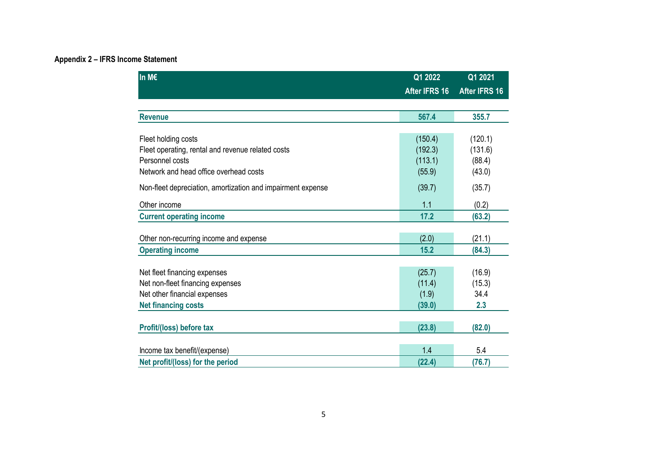# **Appendix 2 – IFRS Income Statement**

| In M€                                                       | Q1 2022       | Q1 2021              |  |
|-------------------------------------------------------------|---------------|----------------------|--|
|                                                             | After IFRS 16 | <b>After IFRS 16</b> |  |
|                                                             |               |                      |  |
| <b>Revenue</b>                                              | 567.4         | 355.7                |  |
|                                                             |               |                      |  |
| Fleet holding costs                                         | (150.4)       | (120.1)              |  |
| Fleet operating, rental and revenue related costs           | (192.3)       | (131.6)              |  |
| Personnel costs                                             | (113.1)       | (88.4)               |  |
| Network and head office overhead costs                      | (55.9)        | (43.0)               |  |
| Non-fleet depreciation, amortization and impairment expense | (39.7)        | (35.7)               |  |
| Other income                                                | 1.1           | (0.2)                |  |
| <b>Current operating income</b>                             | 17.2          | (63.2)               |  |
|                                                             |               |                      |  |
| Other non-recurring income and expense                      | (2.0)         | (21.1)               |  |
| <b>Operating income</b>                                     | 15.2          | (84.3)               |  |
|                                                             |               |                      |  |
| Net fleet financing expenses                                | (25.7)        | (16.9)               |  |
| Net non-fleet financing expenses                            | (11.4)        | (15.3)               |  |
| Net other financial expenses                                | (1.9)         | 34.4                 |  |
| <b>Net financing costs</b>                                  | (39.0)        | 2.3                  |  |
|                                                             |               |                      |  |
| Profit/(loss) before tax                                    | (23.8)        | (82.0)               |  |
|                                                             |               |                      |  |
| Income tax benefit/(expense)                                | 1.4           | 5.4                  |  |
| Net profit/(loss) for the period                            | (22.4)        | (76.7)               |  |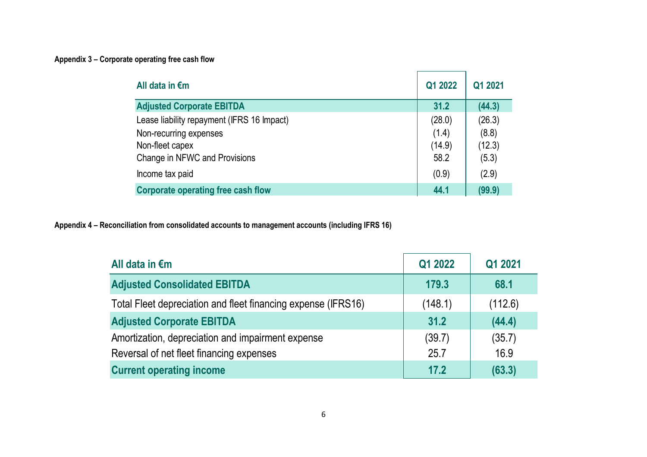# **Appendix 3 – Corporate operating free cash flow**

| All data in $\epsilon$ m                   | Q1 2022 | Q1 2021 |
|--------------------------------------------|---------|---------|
| <b>Adjusted Corporate EBITDA</b>           | 31.2    | (44.3)  |
| Lease liability repayment (IFRS 16 Impact) | (28.0)  | (26.3)  |
| Non-recurring expenses                     | (1.4)   | (8.8)   |
| Non-fleet capex                            | (14.9)  | (12.3)  |
| Change in NFWC and Provisions              | 58.2    | (5.3)   |
| Income tax paid                            | (0.9)   | (2.9)   |
| <b>Corporate operating free cash flow</b>  | 44.1    | (99.9)  |

**Appendix 4 – Reconciliation from consolidated accounts to management accounts (including IFRS 16)**

| All data in $\epsilon$ m                                      | Q1 2022 | Q1 2021 |
|---------------------------------------------------------------|---------|---------|
| <b>Adjusted Consolidated EBITDA</b>                           | 179.3   | 68.1    |
| Total Fleet depreciation and fleet financing expense (IFRS16) | (148.1) | (112.6) |
| <b>Adjusted Corporate EBITDA</b>                              | 31.2    | (44.4)  |
| Amortization, depreciation and impairment expense             | (39.7)  | (35.7)  |
| Reversal of net fleet financing expenses                      | 25.7    | 16.9    |
| <b>Current operating income</b>                               | 17.2    | (63.3)  |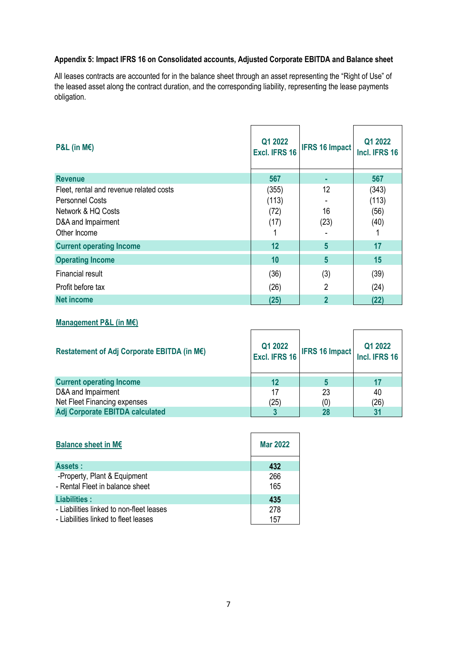## **Appendix 5: Impact IFRS 16 on Consolidated accounts, Adjusted Corporate EBITDA and Balance sheet**

All leases contracts are accounted for in the balance sheet through an asset representing the "Right of Use" of the leased asset along the contract duration, and the corresponding liability, representing the lease payments obligation.

| $P&L$ (in M $\varepsilon$ )                                                                                                   | Q1 2022<br>Excl. IFRS 16       | <b>IFRS 16 Impact</b> | Q1 2022<br>Incl. IFRS 16       |
|-------------------------------------------------------------------------------------------------------------------------------|--------------------------------|-----------------------|--------------------------------|
| <b>Revenue</b>                                                                                                                | 567                            | ٠                     | 567                            |
| Fleet, rental and revenue related costs<br><b>Personnel Costs</b><br>Network & HQ Costs<br>D&A and Impairment<br>Other Income | (355)<br>(113)<br>(72)<br>(17) | 12<br>16<br>(23)      | (343)<br>(113)<br>(56)<br>(40) |
| <b>Current operating Income</b>                                                                                               | 12                             | 5                     | 17                             |
| <b>Operating Income</b>                                                                                                       | 10                             | 5                     | 15                             |
| <b>Financial result</b>                                                                                                       | (36)                           | (3)                   | (39)                           |
| Profit before tax                                                                                                             | (26)                           | 2                     | (24)                           |
| <b>Net income</b>                                                                                                             | (25)                           | $\overline{2}$        | (22)                           |

## **Management P&L (in M€)**

| Restatement of Adj Corporate EBITDA (in M€) | Q1 2022<br>Excl. IFRS 16 | <b>IFRS 16 Impact</b> | Q1 2022<br>Incl. IFRS 16 |
|---------------------------------------------|--------------------------|-----------------------|--------------------------|
| <b>Current operating Income</b>             | 12                       |                       |                          |
| D&A and Impairment                          | 17                       | 23                    | 40                       |
| Net Fleet Financing expenses                | (25)                     | (0)                   | (26)                     |
| Adj Corporate EBITDA calculated             |                          | 28                    |                          |

| <b>Balance sheet in M€</b>                                      | <b>Mar 2022</b> |
|-----------------------------------------------------------------|-----------------|
| <b>Assets:</b>                                                  | 432             |
| -Property, Plant & Equipment<br>- Rental Fleet in balance sheet | 266<br>165      |
| Liabilities :                                                   | 435             |
| - Liabilities linked to non-fleet leases                        | 278             |
| - Liabilities linked to fleet leases                            | 157             |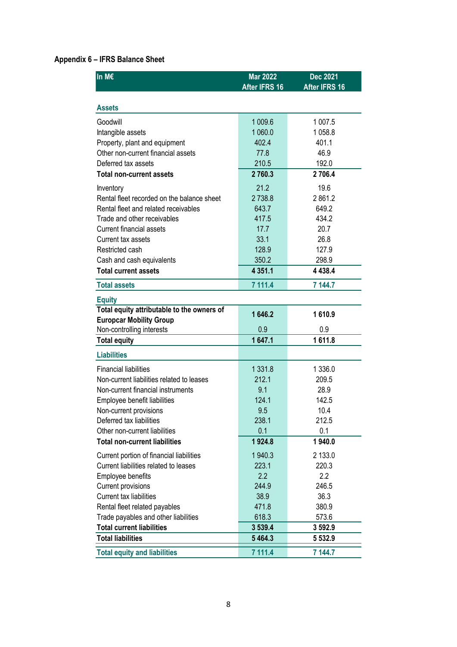## **Appendix 6 – IFRS Balance Sheet**

| In M€                                                       | <b>Mar 2022</b> | <b>Dec 2021</b> |
|-------------------------------------------------------------|-----------------|-----------------|
|                                                             | After IFRS 16   | After IFRS 16   |
| <b>Assets</b>                                               |                 |                 |
| Goodwill                                                    | 1 009.6         | 1 007.5         |
| Intangible assets                                           | 1 060.0         | 1058.8          |
| Property, plant and equipment                               | 402.4           | 401.1           |
| Other non-current financial assets                          | 77.8            | 46.9            |
| Deferred tax assets                                         | 210.5           | 192.0           |
| <b>Total non-current assets</b>                             | 2760.3          | 2706.4          |
| Inventory                                                   | 21.2            | 19.6            |
| Rental fleet recorded on the balance sheet                  | 2738.8          | 2861.2          |
| Rental fleet and related receivables                        | 643.7           | 649.2           |
| Trade and other receivables                                 | 417.5           | 434.2           |
| <b>Current financial assets</b>                             | 17.7            | 20.7            |
| Current tax assets                                          | 33.1            | 26.8            |
| Restricted cash                                             | 128.9           | 127.9           |
| Cash and cash equivalents                                   | 350.2           | 298.9           |
| <b>Total current assets</b>                                 | 4 3 5 1 . 1     | 4 4 3 8.4       |
| <b>Total assets</b>                                         | 7 111.4         | 7 144.7         |
|                                                             |                 |                 |
| <b>Equity</b><br>Total equity attributable to the owners of |                 |                 |
| <b>Europcar Mobility Group</b>                              | 1646.2          | 1610.9          |
| Non-controlling interests                                   | 0.9             | 0.9             |
| <b>Total equity</b>                                         | 1647.1          | 1611.8          |
| <b>Liabilities</b>                                          |                 |                 |
| <b>Financial liabilities</b>                                | 1 3 3 1 . 8     | 1 336.0         |
| Non-current liabilities related to leases                   | 212.1           | 209.5           |
| Non-current financial instruments                           | 9.1             | 28.9            |
| Employee benefit liabilities                                | 124.1           | 142.5           |
| Non-current provisions                                      | 9.5             | 10.4            |
| Deferred tax liabilities                                    | 238.1           | 212.5           |
| Other non-current liabilities                               | 0.1             | 0.1             |
| <b>Total non-current liabilities</b>                        | 1924.8          | 1940.0          |
| Current portion of financial liabilities                    | 1940.3          | 2 133.0         |
| Current liabilities related to leases                       | 223.1           | 220.3           |
| <b>Employee benefits</b>                                    | 2.2             | 2.2             |
| <b>Current provisions</b>                                   | 244.9           | 246.5           |
| <b>Current tax liabilities</b>                              | 38.9            | 36.3            |
| Rental fleet related payables                               | 471.8           | 380.9           |
| Trade payables and other liabilities                        | 618.3           | 573.6           |
| <b>Total current liabilities</b>                            | 3 5 3 9.4       | 3 592.9         |
| <b>Total liabilities</b>                                    | 5 4 6 4 . 3     | 5 5 3 2.9       |
| <b>Total equity and liabilities</b>                         | 7 111.4         | 7 144.7         |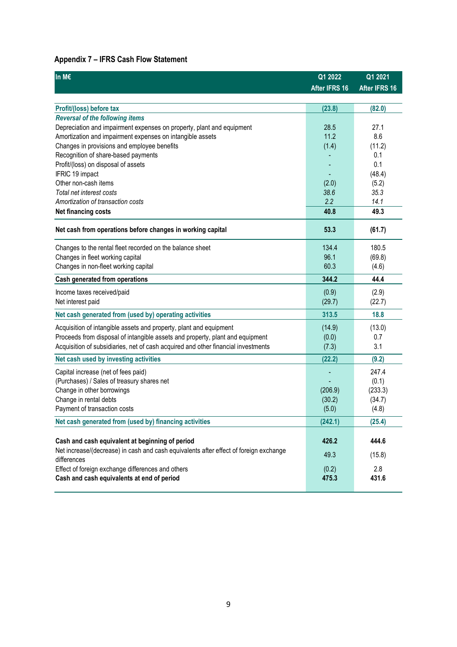## **Appendix 7 – IFRS Cash Flow Statement**

| In M€                                                                                                | Q1 2022       | Q1 2021       |
|------------------------------------------------------------------------------------------------------|---------------|---------------|
|                                                                                                      | After IFRS 16 | After IFRS 16 |
|                                                                                                      |               |               |
| Profit/(loss) before tax                                                                             | (23.8)        | (82.0)        |
| <b>Reversal of the following items</b>                                                               |               |               |
| Depreciation and impairment expenses on property, plant and equipment                                | 28.5          | 27.1          |
| Amortization and impairment expenses on intangible assets                                            | 11.2          | 8.6           |
| Changes in provisions and employee benefits                                                          | (1.4)         | (11.2)        |
| Recognition of share-based payments                                                                  |               | 0.1           |
| Profit/(loss) on disposal of assets                                                                  |               | 0.1           |
| IFRIC 19 impact                                                                                      |               | (48.4)        |
| Other non-cash items                                                                                 | (2.0)         | (5.2)         |
| Total net interest costs                                                                             | 38.6          | 35.3          |
| Amortization of transaction costs                                                                    | 2.2           | 14.1          |
| Net financing costs                                                                                  | 40.8          | 49.3          |
| Net cash from operations before changes in working capital                                           | 53.3          | (61.7)        |
| Changes to the rental fleet recorded on the balance sheet                                            | 134.4         | 180.5         |
| Changes in fleet working capital                                                                     | 96.1          | (69.8)        |
| Changes in non-fleet working capital                                                                 | 60.3          | (4.6)         |
| Cash generated from operations                                                                       | 344.2         | 44.4          |
| Income taxes received/paid                                                                           | (0.9)         | (2.9)         |
| Net interest paid                                                                                    | (29.7)        | (22.7)        |
| Net cash generated from (used by) operating activities                                               | 313.5         | 18.8          |
|                                                                                                      |               |               |
| Acquisition of intangible assets and property, plant and equipment                                   | (14.9)        | (13.0)        |
| Proceeds from disposal of intangible assets and property, plant and equipment                        | (0.0)         | 0.7           |
| Acquisition of subsidiaries, net of cash acquired and other financial investments                    | (7.3)         | 3.1           |
| Net cash used by investing activities                                                                | (22.2)        | (9.2)         |
| Capital increase (net of fees paid)                                                                  |               | 247.4         |
| (Purchases) / Sales of treasury shares net                                                           |               | (0.1)         |
| Change in other borrowings                                                                           | (206.9)       | (233.3)       |
| Change in rental debts                                                                               | (30.2)        | (34.7)        |
| Payment of transaction costs                                                                         | (5.0)         | (4.8)         |
| Net cash generated from (used by) financing activities                                               | (242.1)       | (25.4)        |
|                                                                                                      |               |               |
| Cash and cash equivalent at beginning of period                                                      | 426.2         | 444.6         |
| Net increase/(decrease) in cash and cash equivalents after effect of foreign exchange<br>differences | 49.3          | (15.8)        |
| Effect of foreign exchange differences and others                                                    | (0.2)         | 2.8           |
| Cash and cash equivalents at end of period                                                           | 475.3         | 431.6         |
|                                                                                                      |               |               |